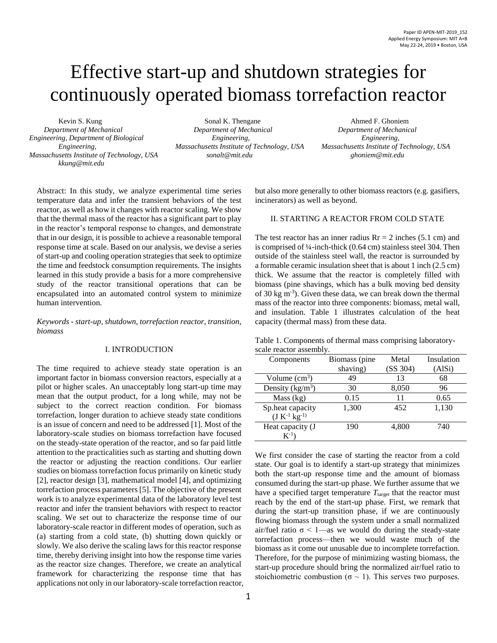# Effective start-up and shutdown strategies for continuously operated biomass torrefaction reactor

*Engineering, Department of Biological Engineering, Engineering, Massachusetts Institute of Technology, USA [sonalt@mit.edu](mailto:sonalt@mit.edu) [kkung@mit.edu](mailto:kkung@mit.edu)*

Kevin S. Kung Sonal K. Thengane Ahmed F. Ghoniem  *Department of Mechanical Department of Mechanical Department of Mechanical*

*Engineering, Massachusetts Institute of Technology, USA Massachusetts Institute of Technology, USA*

Abstract: In this study, we analyze experimental time series temperature data and infer the transient behaviors of the test reactor, as well as how it changes with reactor scaling. We show that the thermal mass of the reactor has a significant part to play in the reactor's temporal response to changes, and demonstrate that in our design, it is possible to achieve a reasonable temporal response time at scale. Based on our analysis, we devise a series of start-up and cooling operation strategies that seek to optimize the time and feedstock consumption requirements. The insights learned in this study provide a basis for a more comprehensive study of the reactor transitional operations that can be encapsulated into an automated control system to minimize human intervention.

*Keywords - start-up, shutdown, torrefaction reactor, transition, biomass*

### I. INTRODUCTION

The time required to achieve steady state operation is an important factor in biomass conversion reactors, especially at a pilot or higher scales. An unacceptably long start-up time may mean that the output product, for a long while, may not be subject to the correct reaction condition. For biomass torrefaction, longer duration to achieve steady state conditions is an issue of concern and need to be addressed [1]. Most of the laboratory-scale studies on biomass torrefaction have focused on the steady-state operation of the reactor, and so far paid little attention to the practicalities such as starting and shutting down the reactor or adjusting the reaction conditions. Our earlier studies on biomass torrefaction focus primarily on kinetic study [2], reactor design [3], mathematical model [4], and optimizing torrefaction process parameters [5]. The objective of the present work is to analyze experimental data of the laboratory level test reactor and infer the transient behaviors with respect to reactor scaling. We set out to characterize the response time of our laboratory-scale reactor in different modes of operation, such as (a) starting from a cold state, (b) shutting down quickly or slowly. We also derive the scaling laws for this reactor response time, thereby deriving insight into how the response time varies as the reactor size changes. Therefore, we create an analytical framework for characterizing the response time that has applications not only in our laboratory-scale torrefaction reactor, but also more generally to other biomass reactors (e.g. gasifiers, incinerators) as well as beyond.

## II. STARTING A REACTOR FROM COLD STATE

The test reactor has an inner radius  $Rr = 2$  inches (5.1 cm) and is comprised of ¼-inch-thick (0.64 cm) stainless steel 304. Then outside of the stainless steel wall, the reactor is surrounded by a formable ceramic insulation sheet that is about 1 inch (2.5 cm) thick. We assume that the reactor is completely filled with biomass (pine shavings, which has a bulk moving bed density of 30 kg m-3 ). Given these data, we can break down the thermal mass of the reactor into three components: biomass, metal wall, and insulation. Table 1 illustrates calculation of the heat capacity (thermal mass) from these data.

Table 1. Components of thermal mass comprising laboratoryscale reactor assembly.

| Components                               | Biomass (pine | Metal    | Insulation |
|------------------------------------------|---------------|----------|------------|
|                                          | shaving)      | (SS 304) | (AlSi)     |
| Volume $(cm3)$                           | 49            | 13       | 68         |
| Density $(kg/m^3)$                       | 30            | 8,050    | 96         |
| Mass (kg)                                | 0.15          | 11       | 0.65       |
| Sp.heat capacity<br>$(J K^{-1} kg^{-1})$ | 1,300         | 452      | 1,130      |
| Heat capacity (J<br>$K^{-1}$             | 190           | 4,800    | 740        |

We first consider the case of starting the reactor from a cold state. Our goal is to identify a start-up strategy that minimizes both the start-up response time and the amount of biomass consumed during the start-up phase. We further assume that we have a specified target temperature  $T_{\text{target}}$  that the reactor must reach by the end of the start-up phase. First, we remark that during the start-up transition phase, if we are continuously flowing biomass through the system under a small normalized air/fuel ratio  $\sigma$  < 1—as we would do during the steady-state torrefaction process—then we would waste much of the biomass as it come out unusable due to incomplete torrefaction. Therefore, for the purpose of minimizing wasting biomass, the start-up procedure should bring the normalized air/fuel ratio to stoichiometric combustion ( $\sigma \sim 1$ ). This serves two purposes.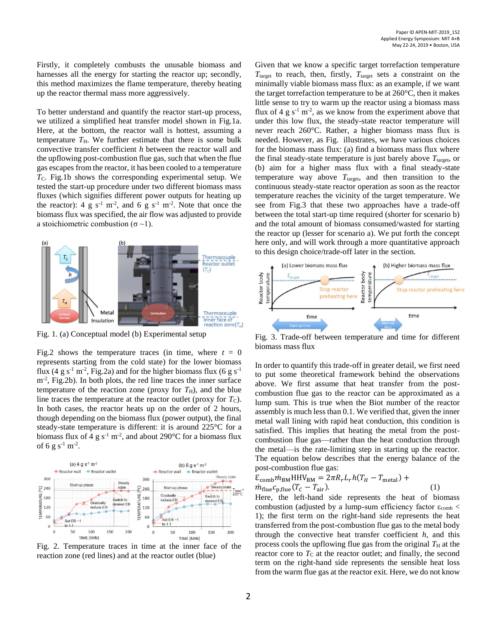Firstly, it completely combusts the unusable biomass and harnesses all the energy for starting the reactor up; secondly, this method maximizes the flame temperature, thereby heating up the reactor thermal mass more aggressively.

To better understand and quantify the reactor start-up process, we utilized a simplified heat transfer model shown in Fig.1a. Here, at the bottom, the reactor wall is hottest, assuming a temperature  $T_H$ . We further estimate that there is some bulk convective transfer coefficient *h* between the reactor wall and the upflowing post-combustion flue gas, such that when the flue gas escapes from the reactor, it has been cooled to a temperature *T*<sub>C</sub>. Fig.1b shows the corresponding experimental setup. We tested the start-up procedure under two different biomass mass fluxes (which signifies different power outputs for heating up the reactor): 4 g s<sup>-1</sup> m<sup>-2</sup>, and 6 g s<sup>-1</sup> m<sup>-2</sup>. Note that once the biomass flux was specified, the air flow was adjusted to provide a stoichiometric combustion ( $\sigma \sim 1$ ).



Fig. 1. (a) Conceptual model (b) Experimental setup

Fig.2 shows the temperature traces (in time, where  $t = 0$ represents starting from the cold state) for the lower biomass flux (4 g s<sup>-1</sup> m<sup>-2</sup>, Fig.2a) and for the higher biomass flux (6 g s<sup>-1</sup>) m<sup>-2</sup>, Fig.2b). In both plots, the red line traces the inner surface temperature of the reaction zone (proxy for  $T_{\rm H}$ ), and the blue line traces the temperature at the reactor outlet (proxy for  $T<sub>C</sub>$ ). In both cases, the reactor heats up on the order of 2 hours, though depending on the biomass flux (power output), the final steady-state temperature is different: it is around 225  $\mathbb C$  for a biomass flux of 4 g s<sup>-1</sup> m<sup>-2</sup>, and about 290 °C for a biomass flux of 6 g s<sup>-1</sup> m<sup>-2</sup>.



<span id="page-1-1"></span>Fig. 2. Temperature traces in time at the inner face of the reaction zone (red lines) and at the reactor outlet (blue)

Given that we know a specific target torrefaction temperature  $T_{\text{target}}$  to reach, then, firstly,  $T_{\text{target}}$  sets a constraint on the minimally viable biomass mass flux: as an example, if we want the target torrefaction temperature to be at  $260 \text{ C}$ , then it makes little sense to try to warm up the reactor using a biomass mass flux of 4 g  $s^{-1}$  m<sup>-2</sup>, as we know from the experiment above that under this low flux, the steady-state reactor temperature will never reach  $260 \, \text{C}$ . Rather, a higher biomass mass flux is needed. However, as [Fig.](#page-1-0) illustrates, we have various choices for the biomass mass flux: (a) find a biomass mass flux where the final steady-state temperature is just barely above  $T_{\text{target}}$ , or (b) aim for a higher mass flux with a final steady-state temperature way above  $T_{\text{target}}$ , and then transition to the continuous steady-state reactor operation as soon as the reactor temperature reaches the vicinity of the target temperature. We see from Fig.3 that these two approaches have a trade-off between the total start-up time required (shorter for scenario b) and the total amount of biomass consumed/wasted for starting the reactor up (lesser for scenario a). We put forth the concept here only, and will work through a more quantitative approach to this design choice/trade-off later in the section.



<span id="page-1-0"></span>Fig. 3. Trade-off between temperature and time for different biomass mass flux

In order to quantify this trade-off in greater detail, we first need to put some theoretical framework behind the observations above. We first assume that heat transfer from the postcombustion flue gas to the reactor can be approximated as a lump sum. This is true when the Biot number of the reactor assembly is much less than 0.1. We verified that, given the inner metal wall lining with rapid heat conduction, this condition is satisfied. This implies that heating the metal from the postcombustion flue gas—rather than the heat conduction through the metal—is the rate-limiting step in starting up the reactor. The equation below describes that the energy balance of the post-combustion flue gas:

$$
\mathcal{E}_{\text{comb}} \dot{m}_{\text{BM}} \text{HHV}_{\text{BM}} = 2\pi R_r L_r h (T_H - T_{\text{metal}}) + \dot{m}_{\text{flue}} c_{\text{p,flue}} (T_C - T_{\text{air}}). \tag{1}
$$

Here, the left-hand side represents the heat of biomass combustion (adjusted by a lump-sum efficiency factor  $\varepsilon_{\rm comb}$  < 1); the first term on the right-hand side represents the heat transferred from the post-combustion flue gas to the metal body through the convective heat transfer coefficient *h*, and this process cools the upflowing flue gas from the original  $T<sub>H</sub>$  at the reactor core to  $T<sub>C</sub>$  at the reactor outlet; and finally, the second term on the right-hand side represents the sensible heat loss from the warm flue gas at the reactor exit. Here, we do not know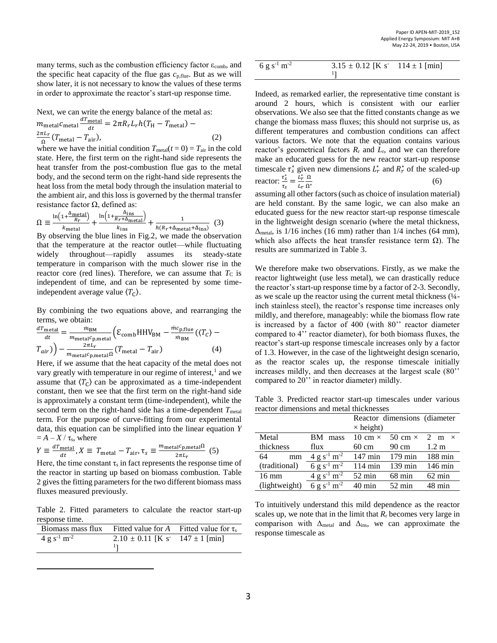many terms, such as the combustion efficiency factor  $\varepsilon_{\rm comb}$ , and the specific heat capacity of the flue gas  $c_{p,\text{flue}}$ . But as we will show later, it is not necessary to know the values of these terms in order to approximate the reactor's start-up response time.

Next, we can write the energy balance of the metal as:

$$
m_{\text{metal}}c_{\text{metal}} \frac{dT_{\text{metal}}}{dt} = 2\pi R_r L_r h (T_H - T_{\text{metal}}) - \frac{2\pi L_r}{\Omega} (T_{\text{metal}} - T_{\text{air}}),
$$
\n(2)

where we have the initial condition  $T_{\text{metal}}(t=0) = T_{\text{air}}$  in the cold state. Here, the first term on the right-hand side represents the heat transfer from the post-combustion flue gas to the metal body, and the second term on the right-hand side represents the heat loss from the metal body through the insulation material to the ambient air, and this loss is governed by the thermal transfer resistance factor  $Ω$ , defined as:

$$
\Omega \equiv \frac{\ln\left(1 + \frac{\Delta_{\text{metal}}}{R_T}\right)}{k_{\text{metal}}} + \frac{\ln\left(1 + \frac{\Delta_{\text{ins}}}{R_T + \Delta_{\text{metal}}}\right)}{k_{\text{ins}}} + \frac{1}{h(R_T + \Delta_{\text{metal}} + \Delta_{\text{ins}})}\tag{3}
$$

By observing the blue lines in Fig.2, we made the observation that the temperature at the reactor outlet—while fluctuating widely throughout—rapidly assumes its steady-state temperature in comparison with the much slower rise in the reactor core (red lines). Therefore, we can assume that  $T<sub>C</sub>$  is independent of time, and can be represented by some timeindependent average value  $\langle T_{\text{C}} \rangle$ .

By combining the two equations above, and rearranging the terms, we obtain:

$$
\frac{dT_{\text{metal}}}{dt} = \frac{m_{\text{BM}}}{m_{\text{metal}}c_{\text{p,metal}}} \left( \mathcal{E}_{\text{comb}} H H V_{\text{BM}} - \frac{m c_{\text{p,flue}}}{m_{\text{BM}}} \left( \langle T_C \rangle - T_{\text{air}} \right) \right) - \frac{2\pi L_r}{m_{\text{metal}}c_{\text{p,metal}}} \left( T_{\text{metal}} - T_{\text{air}} \right) \tag{4}
$$

Here, if we assume that the heat capacity of the metal does not vary greatly with temperature in our regime of interest,<sup>1</sup> and we assume that  $\langle T_C \rangle$  can be approximated as a time-independent constant, then we see that the first term on the right-hand side is approximately a constant term (time-independent), while the second term on the right-hand side has a time-dependent  $T_{\text{metal}}$ term. For the purpose of curve-fitting from our experimental data, this equation can be simplified into the linear equation *Y*  $= A - X / \tau_s$ , where

$$
Y \equiv \frac{dT_{\text{metal}}}{dt}, X \equiv T_{\text{metal}} - T_{\text{air}}, \tau_s \equiv \frac{m_{\text{metal}}c_{\text{p}, \text{metal}}\Omega}{2\pi L_r} (5)
$$

Here, the time constant  $\tau_s$  in fact represents the response time of the reactor in starting up based on biomass combustion. Table 2 gives the fitting parameters for the two different biomass mass fluxes measured previously.

Table 2. Fitted parameters to calculate the reactor start-up response time.

| Biomass mass flux   | Fitted value for A Fitted value for $\tau_s$       |  |
|---------------------|----------------------------------------------------|--|
| $4 g s^{-1} m^{-2}$ | $2.10 \pm 0.11$ [K s <sup>-147</sup> $\pm 1$ [min] |  |
|                     |                                                    |  |

 $\overline{a}$ 

| 6 g s <sup>-1</sup> m <sup>-2</sup> | 3.15 $\pm$ 0.12 [K s 114 $\pm$ 1 [min] |  |
|-------------------------------------|----------------------------------------|--|
|                                     |                                        |  |

Indeed, as remarked earlier, the representative time constant is around 2 hours, which is consistent with our earlier observations. We also see that the fitted constants change as we change the biomass mass fluxes; this should not surprise us, as different temperatures and combustion conditions can affect various factors. We note that the equation contains various reactor's geometrical factors  $R_r$  and  $L_r$ , and we can therefore make an educated guess for the new reactor start-up response timescale  $\tau_s^*$  given new dimensions  $L_r^*$  and  $R_r^*$  of the scaled-up reactor:  $\frac{\tau_S^*}{\sigma_S^*}$  $rac{\tau_s^*}{\tau_s} = \frac{L_r^*}{L_r}$  $L_r$ Ω Ω∗ (6)

assuming all other factors (such as choice of insulation material) are held constant. By the same logic, we can also make an educated guess for the new reactor start-up response timescale in the lightweight design scenario (where the metal thickness,  $\Delta_{\text{metal}}$ , is 1/16 inches (16 mm) rather than 1/4 inches (64 mm), which also affects the heat transfer resistance term  $\Omega$ ). The results are summarized in Table 3.

We therefore make two observations. Firstly, as we make the reactor lightweight (use less metal), we can drastically reduce the reactor's start-up response time by a factor of 2-3. Secondly, as we scale up the reactor using the current metal thickness (¼ inch stainless steel), the reactor's response time increases only mildly, and therefore, manageably: while the biomass flow rate is increased by a factor of 400 (with 80'' reactor diameter compared to 4'' reactor diameter), for both biomass fluxes, the reactor's start-up response timescale increases only by a factor of 1.3. However, in the case of the lightweight design scenario, as the reactor scales up, the response timescale initially increases mildly, and then decreases at the largest scale (80'' compared to 20'' in reactor diameter) mildly.

Table 3. Predicted reactor start-up timescales under various reactor dimensions and metal thicknesses

|                 |                                     |                           | Reactor dimensions (diameter)              |                   |
|-----------------|-------------------------------------|---------------------------|--------------------------------------------|-------------------|
|                 |                                     | $\times$ height)          |                                            |                   |
| Metal           | <b>BM</b> mass                      |                           | 10 cm $\times$ 50 cm $\times$ 2 m $\times$ |                   |
| thickness       | flux                                | 60 cm                     | 90 cm                                      | $1.2 \text{ m}$   |
| 64<br>mm        | $4 \text{ g s}^{-1} \text{ m}^{-2}$ | $147 \text{ min}$ 179 min |                                            | $188 \text{ min}$ |
| (traditional)   | 6 g s <sup>-1</sup> m <sup>-2</sup> | $114 \text{ min}$         | $139 \text{ min}$                          | $146 \text{ min}$ |
| $16 \text{ mm}$ | $4 g s^{-1} m^{-2}$                 | $52 \text{ min}$          | $68 \text{ min}$                           | $62 \text{ min}$  |
| (lightweight)   | 6 g s <sup>-1</sup> m <sup>-2</sup> | $40 \text{ min}$          | $52 \text{ min}$                           | $48 \text{ min}$  |

To intuitively understand this mild dependence as the reactor scales up, we note that in the limit that  $R_r$  becomes very large in comparison with  $\Delta_{\text{metal}}$  and  $\Delta_{\text{ins}}$ , we can approximate the response timescale as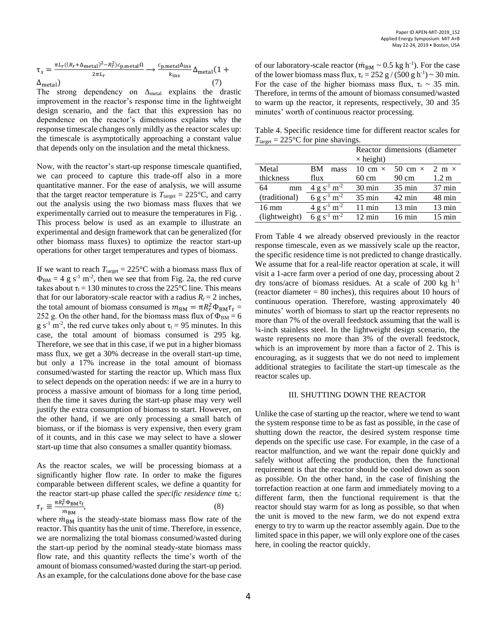$$
\tau_{s} = \frac{\pi L_{r}((R_{r} + \Delta_{\text{metal}})^{2} - R_{r}^{2})c_{\text{p,metal}}\Omega}{2\pi L_{r}} \longrightarrow \frac{c_{\text{p,metal}}\Delta_{\text{ins}}}{k_{\text{ins}}}\Delta_{\text{metal}}(1 + \Delta_{\text{metal}})
$$
(7)

The strong dependency on  $\Delta_{\text{metal}}$  explains the drastic improvement in the reactor's response time in the lightweight design scenario, and the fact that this expression has no dependence on the reactor's dimensions explains why the response timescale changes only mildly as the reactor scales up: the timescale is asymptotically approaching a constant value that depends only on the insulation and the metal thickness.

Now, with the reactor's start-up response timescale quantified, we can proceed to capture this trade-off also in a more quantitative manner. For the ease of analysis, we will assume that the target reactor temperature is  $T_{\text{target}} = 225 \text{ °C}$ , and carry out the analysis using the two biomass mass fluxes that we experimentally carried out to measure the temperatures in [Fig.](#page-1-1) . This process below is used as an example to illustrate an experimental and design framework that can be generalized (for other biomass mass fluxes) to optimize the reactor start-up operations for other target temperatures and types of biomass.

If we want to reach  $T_{\text{target}} = 225 \text{°C}$  with a biomass mass flux of  $\Phi_{BM} = 4$  g s<sup>-1</sup> m<sup>-2</sup>, then we see that from Fig. 2a, the red curve takes about  $\tau_t = 130$  minutes to cross the 225 °C line. This means that for our laboratory-scale reactor with a radius  $R_r = 2$  inches, the total amount of biomass consumed is  $m_{BM} = \pi R_r^2 \Phi_{BM} \tau_t =$ 252 g. On the other hand, for the biomass mass flux of  $\Phi_{BM} = 6$ g s<sup>-1</sup> m<sup>-2</sup>, the red curve takes only about  $\tau_t = 95$  minutes. In this case, the total amount of biomass consumed is 295 kg. Therefore, we see that in this case, if we put in a higher biomass mass flux, we get a 30% decrease in the overall start-up time, but only a 17% increase in the total amount of biomass consumed/wasted for starting the reactor up. Which mass flux to select depends on the operation needs: if we are in a hurry to process a massive amount of biomass for a long time period, then the time it saves during the start-up phase may very well justify the extra consumption of biomass to start. However, on the other hand, if we are only processing a small batch of biomass, or if the biomass is very expensive, then every gram of it counts, and in this case we may select to have a slower start-up time that also consumes a smaller quantity biomass.

As the reactor scales, we will be processing biomass at a significantly higher flow rate. In order to make the figures comparable between different scales, we define a quantity for the reactor start-up phase called the *specific residence time* τ<sub>r</sub>: π $R_r^2 \Phi_{BM} \tau_t$ 

$$
\tau_r \equiv \frac{n \kappa_r \Psi_{BM} \nu_t}{m_{BM}},\tag{8}
$$

where  $\dot{m}_{BM}$  is the steady-state biomass mass flow rate of the reactor. This quantity has the unit of time. Therefore, in essence, we are normalizing the total biomass consumed/wasted during the start-up period by the nominal steady-state biomass mass flow rate, and this quantity reflects the time's worth of the amount of biomass consumed/wasted during the start-up period. As an example, for the calculations done above for the base case

of our laboratory-scale reactor ( $\dot{m}_{BM} \sim 0.5$  kg h<sup>-1</sup>). For the case of the lower biomass mass flux,  $\tau_r = 252$  g / (500 g h<sup>-1</sup>) ~ 30 min. For the case of the higher biomass mass flux,  $\tau_r \sim 35$  min. Therefore, in terms of the amount of biomass consumed/wasted to warm up the reactor, it represents, respectively, 30 and 35 minutes' worth of continuous reactor processing.

Table 4. Specific residence time for different reactor scales for  $T_{\text{target}} = 225 \text{ °C}$  for pine shavings.

|                 |                                     | Reactor dimensions (diameter) |                                            |                  |
|-----------------|-------------------------------------|-------------------------------|--------------------------------------------|------------------|
|                 |                                     | $\times$ height)              |                                            |                  |
| Metal           | <b>BM</b><br>mass                   |                               | 10 cm $\times$ 50 cm $\times$ 2 m $\times$ |                  |
| thickness       | flux                                | 60 cm                         | $90 \text{ cm}$                            | $1.2 \text{ m}$  |
| 64<br>mm        | $4 g s^{-1} m^{-2}$                 | $30 \text{ min}$              | $35 \text{ min}$                           | $37 \text{ min}$ |
| (traditional)   | 6 g s <sup>-1</sup> m <sup>-2</sup> | $35 \text{ min}$              | $42 \text{ min}$                           | $48 \text{ min}$ |
| $16 \text{ mm}$ | $4 g s^{-1} m^{-2}$                 | $11 \text{ min}$              | $13 \text{ min}$                           | $13 \text{ min}$ |
| (lightweight)   | 6 g s <sup>-1</sup> m <sup>-2</sup> | $12 \text{ min}$              | $16 \text{ min}$                           | $15 \text{ min}$ |

From Table 4 we already observed previously in the reactor response timescale, even as we massively scale up the reactor, the specific residence time is not predicted to change drastically. We assume that for a real-life reactor operation at scale, it will visit a 1-acre farm over a period of one day, processing about 2 dry tons/acre of biomass residues. At a scale of 200 kg  $h^{-1}$ (reactor diameter  $= 80$  inches), this requires about 10 hours of continuous operation. Therefore, wasting approximately 40 minutes' worth of biomass to start up the reactor represents no more than 7% of the overall feedstock assuming that the wall is ¼-inch stainless steel. In the lightweight design scenario, the waste represents no more than 3% of the overall feedstock, which is an improvement by more than a factor of 2. This is encouraging, as it suggests that we do not need to implement additional strategies to facilitate the start-up timescale as the reactor scales up.

#### III. SHUTTING DOWN THE REACTOR

Unlike the case of starting up the reactor, where we tend to want the system response time to be as fast as possible, in the case of shutting down the reactor, the desired system response time depends on the specific use case. For example, in the case of a reactor malfunction, and we want the repair done quickly and safely without affecting the production, then the functional requirement is that the reactor should be cooled down as soon as possible. On the other hand, in the case of finishing the torrefaction reaction at one farm and immediately moving to a different farm, then the functional requirement is that the reactor should stay warm for as long as possible, so that when the unit is moved to the new farm, we do not expend extra energy to try to warm up the reactor assembly again. Due to the limited space in this paper, we will only explore one of the cases here, in cooling the reactor quickly.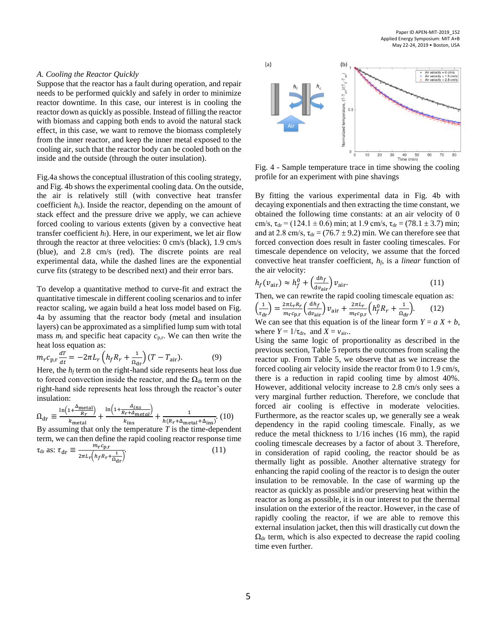#### *A. Cooling the Reactor Quickly*

Suppose that the reactor has a fault during operation, and repair needs to be performed quickly and safely in order to minimize reactor downtime. In this case, our interest is in cooling the reactor down as quickly as possible. Instead of filling the reactor with biomass and capping both ends to avoid the natural stack effect, in this case, we want to remove the biomass completely from the inner reactor, and keep the inner metal exposed to the cooling air, such that the reactor body can be cooled both on the inside and the outside (through the outer insulation).

Fig.4a shows the conceptual illustration of this cooling strategy, and [Fig.](#page-4-0) 4b shows the experimental cooling data. On the outside, the air is relatively still (with convective heat transfer coefficient *h*s). Inside the reactor, depending on the amount of stack effect and the pressure drive we apply, we can achieve forced cooling to various extents (given by a convective heat transfer coefficient  $h_f$ ). Here, in our experiment, we let air flow through the reactor at three velocities: 0 cm/s (black), 1.9 cm/s (blue), and 2.8 cm/s (red). The discrete points are real experimental data, while the dashed lines are the exponential curve fits (strategy to be described next) and their error bars.

To develop a quantitative method to curve-fit and extract the quantitative timescale in different cooling scenarios and to infer reactor scaling, we again build a heat loss model based on [Fig.](#page-4-0) 4a by assuming that the reactor body (metal and insulation layers) can be approximated as a simplified lump sum with total mass  $m_r$  and specific heat capacity  $c_{p,r}$ . We can then write the heat loss equation as:

$$
m_{\rm r}c_{\rm p,r}\frac{d\tau}{dt} = -2\pi L_{r}\left(h_{f}R_{r} + \frac{1}{\Omega_{\rm dr}}\right)(T - T_{\rm air}).
$$
 (9)

Here, the  $h_f$  term on the right-hand side represents heat loss due to forced convection inside the reactor, and the  $\Omega_{dr}$  term on the right-hand side represents heat loss through the reactor's outer insulation:

$$
\Omega_{\rm dr} \equiv \frac{\ln\left(1 + \frac{\Delta_{\rm metal}}{R_r}\right)}{k_{\rm metal}} + \frac{\ln\left(1 + \frac{\Delta_{\rm ins}}{R_r + \Delta_{\rm metal}}\right)}{k_{\rm ins}} + \frac{1}{h\left(R_r + \Delta_{\rm metal} + \Delta_{\rm ins}\right)}.\tag{10}
$$
\nBy assuming that only the temperature *T* is the time-dependent term, we can then define the rapid cooling reactor response time

\n
$$
\tau_{\rm dr} \text{ as: } \tau_{\rm dr} \equiv \frac{m_{\rm r}c_{\rm p,r}}{2\pi L_r \left(h_f R_r + \frac{1}{\Omega_{\rm dr}}\right)}.\tag{11}
$$



<span id="page-4-0"></span>Fig. 4 - Sample temperature trace in time showing the cooling profile for an experiment with pine shavings

By fitting the various experimental data in Fig. 4b with decaying exponentials and then extracting the time constant, we obtained the following time constants: at an air velocity of 0 cm/s,  $\tau_{dr}$  = (124.1  $\pm$  0.6) min; at 1.9 cm/s,  $\tau_{dr}$  = (78.1  $\pm$ 3.7) min; and at 2.8 cm/s,  $\tau_{dr} = (76.7 \pm 9.2)$  min. We can therefore see that forced convection does result in faster cooling timescales. For timescale dependence on velocity, we assume that the forced convective heat transfer coefficient, *hf*, is a *linear* function of the air velocity:

$$
h_f(v_{\text{air}}) \approx h_f^0 + \left(\frac{dh_f}{dv_{\text{air}}}\right) v_{\text{air}}.\tag{11}
$$

Then, we can rewrite the rapid cooling timescale equation as:

$$
\left(\frac{1}{\tau_{\rm dr}}\right) = \frac{2\pi L_r R_r}{m_r c_{\rm p,r}} \left(\frac{dh_f}{dv_{\rm air}}\right) v_{\rm air} + \frac{2\pi L_r}{m_r c_{\rm p,r}} \left(h_f^0 R_r + \frac{1}{\Omega_{\rm dr}}\right). \tag{12}
$$

We can see that this equation is of the linear form  $Y = a X + b$ , where  $Y = 1/\tau_{dr}$ , and  $X = v_{air}$ .

Using the same logic of proportionality as described in the previous section, [Table 5](#page-5-0) reports the outcomes from scaling the reactor up. From [Table 5](#page-5-0), we observe that as we increase the forced cooling air velocity inside the reactor from 0 to 1.9 cm/s, there is a reduction in rapid cooling time by almost 40%. However, additional velocity increase to 2.8 cm/s only sees a very marginal further reduction. Therefore, we conclude that forced air cooling is effective in moderate velocities. Furthermore, as the reactor scales up, we generally see a weak dependency in the rapid cooling timescale. Finally, as we reduce the metal thickness to 1/16 inches (16 mm), the rapid cooling timescale decreases by a factor of about 3. Therefore, in consideration of rapid cooling, the reactor should be as thermally light as possible. Another alternative strategy for enhancing the rapid cooling of the reactor is to design the outer insulation to be removable. In the case of warming up the reactor as quickly as possible and/or preserving heat within the reactor as long as possible, it is in our interest to put the thermal insulation on the exterior of the reactor. However, in the case of rapidly cooling the reactor, if we are able to remove this external insulation jacket, then this will drastically cut down the  $\Omega_{dr}$  term, which is also expected to decrease the rapid cooling time even further.